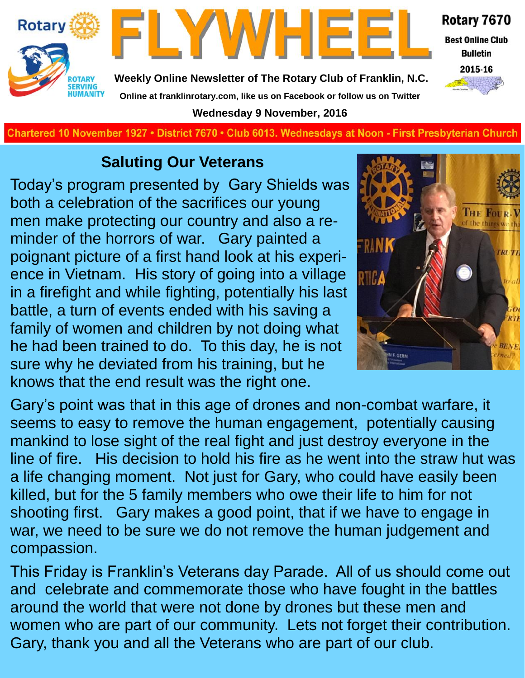



Rotary 7670 **Best Online Club** 

**Bulletin** 



**Weekly Online Newsletter of The Rotary Club of Franklin, N.C. Online at franklinrotary.com, like us on Facebook or follow us on Twitter Wednesday 9 November, 2016**

**Charted November 29, 1927 • District 7670 • Club 6013 Wednesdays at Noon - First Presbyterian Church**

### **Saluting Our Veterans**

Today's program presented by Gary Shields was both a celebration of the sacrifices our young men make protecting our country and also a reminder of the horrors of war. Gary painted a poignant picture of a first hand look at his experience in Vietnam. His story of going into a village in a firefight and while fighting, potentially his last battle, a turn of events ended with his saving a family of women and children by not doing what he had been trained to do. To this day, he is not sure why he deviated from his training, but he knows that the end result was the right one.



Gary's point was that in this age of drones and non-combat warfare, it seems to easy to remove the human engagement, potentially causing mankind to lose sight of the real fight and just destroy everyone in the line of fire. His decision to hold his fire as he went into the straw hut was a life changing moment. Not just for Gary, who could have easily been killed, but for the 5 family members who owe their life to him for not shooting first. Gary makes a good point, that if we have to engage in war, we need to be sure we do not remove the human judgement and compassion.

This Friday is Franklin's Veterans day Parade. All of us should come out and celebrate and commemorate those who have fought in the battles around the world that were not done by drones but these men and women who are part of our community. Lets not forget their contribution. Gary, thank you and all the Veterans who are part of our club.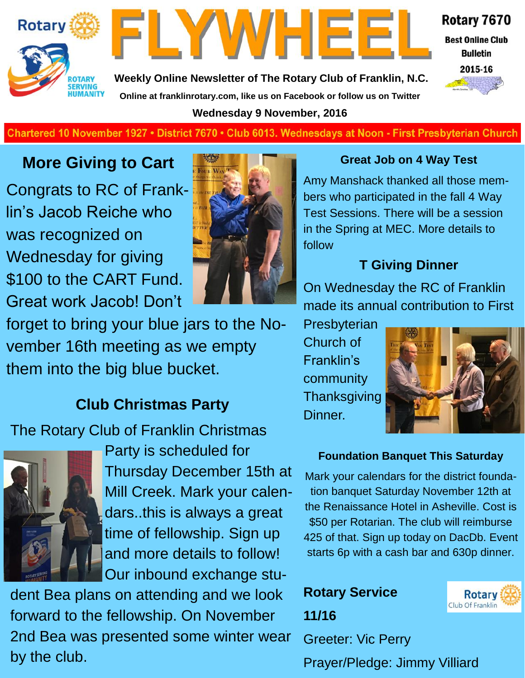



Rotary 7670

**Best Online Club Bulletin** 

**Weekly Online Newsletter of The Rotary Club of Franklin, N.C. Online at franklinrotary.com, like us on Facebook or follow us on Twitter Wednesday 9 November, 2016**



**Charted November 29, 1927 • District 7670 • Club 6013 Wednesdays at Noon - First Presbyterian Church**

### **More Giving to Cart**

Congrats to RC of Franklin's Jacob Reiche who was recognized on Wednesday for giving \$100 to the CART Fund. Great work Jacob! Don't



forget to bring your blue jars to the November 16th meeting as we empty them into the big blue bucket.

### **Club Christmas Party**

The Rotary Club of Franklin Christmas



Party is scheduled for Thursday December 15th at Mill Creek. Mark your calendars..this is always a great time of fellowship. Sign up and more details to follow! Our inbound exchange stu-

dent Bea plans on attending and we look forward to the fellowship. On November 2nd Bea was presented some winter wear by the club.

### **Great Job on 4 Way Test**

Amy Manshack thanked all those members who participated in the fall 4 Way Test Sessions. There will be a session in the Spring at MEC. More details to follow

### **T Giving Dinner**

On Wednesday the RC of Franklin made its annual contribution to First

**Presbyterian** Church of Franklin's community **Thanksgiving** Dinner.



### **Foundation Banquet This Saturday**

Mark your calendars for the district foundation banquet Saturday November 12th at the Renaissance Hotel in Asheville. Cost is \$50 per Rotarian. The club will reimburse 425 of that. Sign up today on DacDb. Event starts 6p with a cash bar and 630p dinner.

### **Rotary Service 11/16**



Prayer/Pledge: Jimmy Villiard

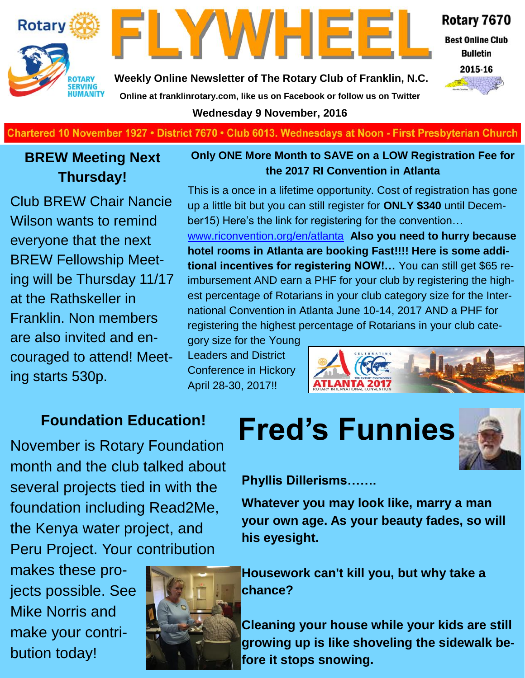



Rotary 7670

**Best Online Club Bulletin** 

2015-16

**Weekly Online Newsletter of The Rotary Club of Franklin, N.C. Online at franklinrotary.com, like us on Facebook or follow us on Twitter**

**Wednesday 9 November, 2016**

**Charted November 29, 1927 • District 7670 • Club 6013 Wednesdays at Noon - First Presbyterian Church**

### **BREW Meeting Next Thursday!**

Club BREW Chair Nancie Wilson wants to remind everyone that the next BREW Fellowship Meeting will be Thursday 11/17 at the Rathskeller in Franklin. Non members are also invited and encouraged to attend! Meeting starts 530p.

### **Only ONE More Month to SAVE on a LOW Registration Fee for the 2017 RI Convention in Atlanta**

This is a once in a lifetime opportunity. Cost of registration has gone up a little bit but you can still register for **ONLY \$340** until December15) Here's the link for registering for the convention…

[www.riconvention.org/en/atlanta](http://www.riconvention.org/en/atlanta) **Also you need to hurry because hotel rooms in Atlanta are booking Fast!!!! Here is some additional incentives for registering NOW!…** You can still get \$65 reimbursement AND earn a PHF for your club by registering the highest percentage of Rotarians in your club category size for the International Convention in Atlanta June 10-14, 2017 AND a PHF for registering the highest percentage of Rotarians in your club cate-

gory size for the Young Leaders and District Conference in Hickory April 28-30, 2017!!



November is Rotary Foundation month and the club talked about several projects tied in with the foundation including Read2Me, the Kenya water project, and Peru Project. Your contribution

makes these projects possible. See Mike Norris and make your contribution today!



# Foundation Education! Fred's Funnies



**Phyllis Dillerisms…….**

**Whatever you may look like, marry a man your own age. As your beauty fades, so will his eyesight.**

**Housework can't kill you, but why take a chance?**

**Cleaning your house while your kids are still growing up is like shoveling the sidewalk before it stops snowing.**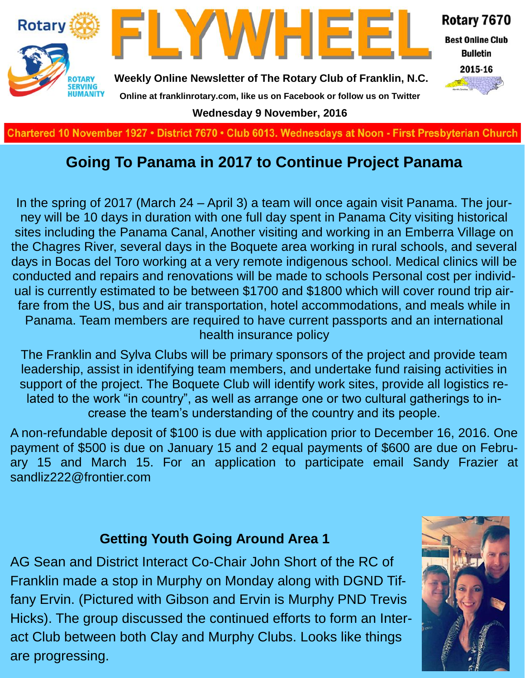

### **Going To Panama in 2017 to Continue Project Panama**

In the spring of 2017 (March 24 – April 3) a team will once again visit Panama. The journey will be 10 days in duration with one full day spent in Panama City visiting historical sites including the Panama Canal, Another visiting and working in an Emberra Village on the Chagres River, several days in the Boquete area working in rural schools, and several days in Bocas del Toro working at a very remote indigenous school. Medical clinics will be conducted and repairs and renovations will be made to schools Personal cost per individual is currently estimated to be between \$1700 and \$1800 which will cover round trip airfare from the US, bus and air transportation, hotel accommodations, and meals while in Panama. Team members are required to have current passports and an international health insurance policy

The Franklin and Sylva Clubs will be primary sponsors of the project and provide team leadership, assist in identifying team members, and undertake fund raising activities in support of the project. The Boquete Club will identify work sites, provide all logistics related to the work "in country", as well as arrange one or two cultural gatherings to increase the team's understanding of the country and its people.

A non-refundable deposit of \$100 is due with application prior to December 16, 2016. One payment of \$500 is due on January 15 and 2 equal payments of \$600 are due on February 15 and March 15. For an application to participate email Sandy Frazier at sandliz222@frontier.com

### **Getting Youth Going Around Area 1**

AG Sean and District Interact Co-Chair John Short of the RC of Franklin made a stop in Murphy on Monday along with DGND Tiffany Ervin. (Pictured with Gibson and Ervin is Murphy PND Trevis Hicks). The group discussed the continued efforts to form an Interact Club between both Clay and Murphy Clubs. Looks like things are progressing.

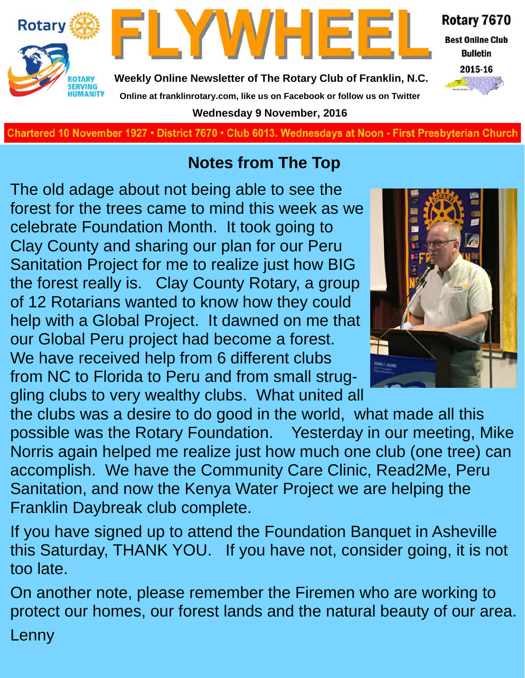

**Charted November 29, 1927 • District 7670 • Club 6013 Wednesdays at Noon - First Presbyterian Church**

### **Notes from The Top**

The old adage about not being able to see the forest for the trees came to mind this week as we celebrate Foundation Month. It took going to Clay County and sharing our plan for our Peru Sanitation Project for me to realize just how BIG the forest really is. Clay County Rotary, a group of 12 Rotarians wanted to know how they could help with a Global Project. It dawned on me that our Global Peru project had become a forest. We have received help from 6 different clubs from NC to Florida to Peru and from small struggling clubs to very wealthy clubs. What united all

the clubs was a desire to do good in the world, what made all this possible was the Rotary Foundation. Yesterday in our meeting, Mike Norris again helped me realize just how much one club (one tree) can accomplish. We have the Community Care Clinic, Read2Me, Peru Sanitation, and now the Kenya Water Project we are helping the Franklin Daybreak club complete.

If you have signed up to attend the Foundation Banquet in Asheville this Saturday, THANK YOU. If you have not, consider going, it is not too late.

On another note, please remember the Firemen who are working to protect our homes, our forest lands and the natural beauty of our area. Lenny